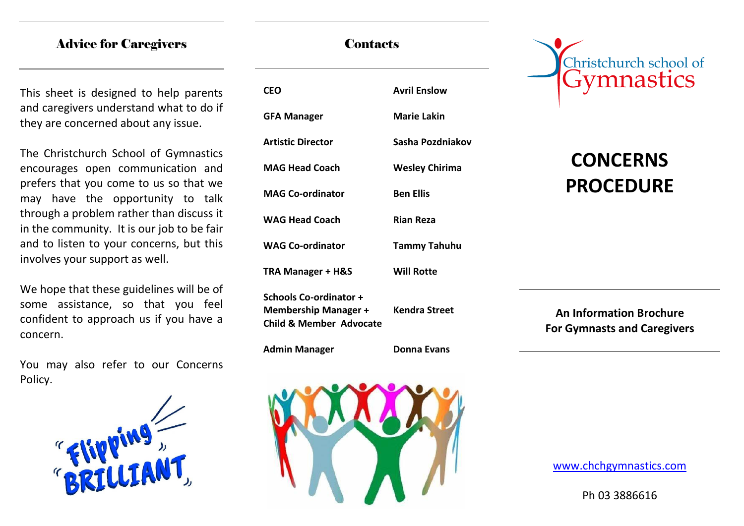### Advice for Caregivers

This sheet is designed to help parents and caregivers understand what to do if they are concerned about any issue.

The Christchurch School of Gymnastics encourages open communication and prefers that you come to us so that we may have the opportunity to talk through a problem rather than discuss it in the community. It is our job to be fair and to listen to your concerns, but this involves your support as well.

We hope that these guidelines will be of some assistance, so that you feel confident to approach us if you have a concern.

You may also refer to our Concerns Policy.



# **CEO Avril Enslow GFA Manager Marie Lakin Artistic Director Sasha Pozdniakov MAG Head Coach Wesley Chirima MAG Co-ordinator Ben Ellis WAG Head Coach Rian Reza WAG Co-ordinator Tammy Tahuhu TRA Manager + H&S Will Rotte Schools Co-ordinator + Membership Manager + Kendra Street Child & Member Advocate Admin Manager Donna Evans**



# Christchurch school of Gymnastics

# **CONCERNS PROCEDURE**

**An Information Brochure For Gymnasts and Caregivers**

www.chchgymnastics.com

Ph 03 3886616

**Contacts**